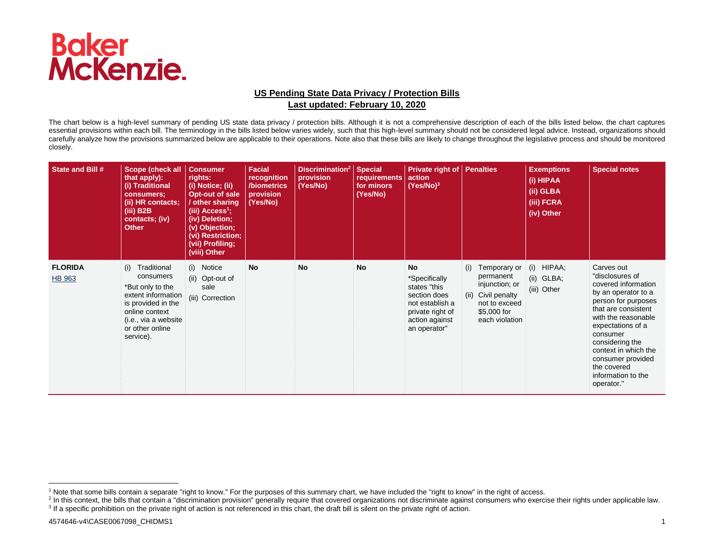

## **US Pending State Data Privacy / Protection Bills Last updated: February 10, 2020**

The chart below is a high-level summary of pending US state data privacy / protection bills. Although it is not a comprehensive description of each of the bills listed below, the chart captures essential provisions within each bill. The terminology in the bills listed below varies widely, such that this high-level summary should not be considered legal advice. Instead, organizations should carefully analyze how the provisions summarized below are applicable to their operations. Note also that these bills are likely to change throughout the legislative process and should be monitored closely.

| State and Bill #                | Scope (check all<br>that apply):<br>(i) Traditional<br>consumers:<br>(ii) HR contacts;<br>$(iii)$ B2B<br>contacts; (iv)<br><b>Other</b>                                   | <b>Consumer</b><br>rights:<br>(i) Notice; (ii)<br>Opt-out of sale<br>/ other sharing<br>(iii) Access <sup>1</sup> ;<br>(iv) Deletion;<br>(v) Objection;<br>(vi) Restriction;<br>(vii) Profiling;<br>(viii) Other | <b>Facial</b><br>recognition<br>/biometrics<br>provision<br>(Yes/No) | Discrimination <sup>2</sup> Special<br>provision<br>(Yes/No) | requirements<br>for minors<br>(Yes/No) | <b>Private right of Penalties</b><br>action<br>$(Yes/No)^3$                                                                  |                                                                                                                            | <b>Exemptions</b><br>(i) HIPAA<br>(ii) GLBA<br>(iii) FCRA<br>(iv) Other | <b>Special notes</b>                                                                                                                                                                                                                                                                                 |
|---------------------------------|---------------------------------------------------------------------------------------------------------------------------------------------------------------------------|------------------------------------------------------------------------------------------------------------------------------------------------------------------------------------------------------------------|----------------------------------------------------------------------|--------------------------------------------------------------|----------------------------------------|------------------------------------------------------------------------------------------------------------------------------|----------------------------------------------------------------------------------------------------------------------------|-------------------------------------------------------------------------|------------------------------------------------------------------------------------------------------------------------------------------------------------------------------------------------------------------------------------------------------------------------------------------------------|
| <b>FLORIDA</b><br><b>HB 963</b> | Traditional<br>(i)<br>consumers<br>*But only to the<br>extent information<br>is provided in the<br>online context<br>(i.e., via a website<br>or other online<br>service). | (i) Notice<br>(ii) Opt-out of<br>sale<br>(iii) Correction                                                                                                                                                        | <b>No</b>                                                            | <b>No</b>                                                    | No                                     | No<br>*Specifically<br>states "this<br>section does<br>not establish a<br>private right of<br>action against<br>an operator" | Temporary or<br>(i)<br>permanent<br>injunction; or<br>(ii) Civil penalty<br>not to exceed<br>\$5,000 for<br>each violation | (i) HIPAA;<br>(ii) GLBA;<br>(iii) Other                                 | Carves out<br>"disclosures of<br>covered information<br>by an operator to a<br>person for purposes<br>that are consistent<br>with the reasonable<br>expectations of a<br>consumer<br>considering the<br>context in which the<br>consumer provided<br>the covered<br>information to the<br>operator." |

-

<sup>&</sup>lt;sup>1</sup> Note that some bills contain a separate "right to know." For the purposes of this summary chart, we have included the "right to know" in the right of access.

<sup>&</sup>lt;sup>2</sup> In this context, the bills that contain a "discrimination provision" generally require that covered organizations not discriminate against consumers who exercise their rights under applicable law. <sup>3</sup> If a specific prohibition on the private right of action is not referenced in this chart, the draft bill is silent on the private right of action.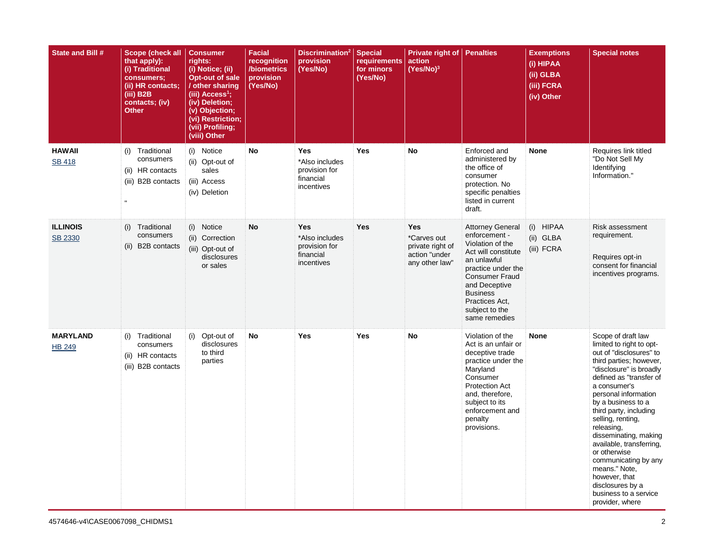| State and Bill #                 | Scope (check all<br>that apply):<br>(i) Traditional<br>consumers;<br>(ii) HR contacts;<br>$(iii)$ B <sub>2</sub> B<br>contacts; (iv)<br><b>Other</b> | <b>Consumer</b><br>rights:<br>(i) Notice; (ii)<br>Opt-out of sale<br>/ other sharing<br>(iii) $Access1$ ;<br>(iv) Deletion;<br>(v) Objection;<br>(vi) Restriction;<br>(vii) Profiling;<br>(viii) Other | <b>Facial</b><br>recognition<br>/biometrics<br>provision<br>(Yes/No) | Discrimination <sup>2</sup><br>provision<br>(Yes/No)                     | <b>Special</b><br>requirements<br>for minors<br>(Yes/No) | Private right of<br>action<br>$(Yes/No)^3$                                       | <b>Penalties</b>                                                                                                                                                                                                                           | <b>Exemptions</b><br>$\overline{I(i)}$ HIPAA<br>(ii) GLBA<br>(iii) FCRA<br>(iv) Other | <b>Special notes</b>                                                                                                                                                                                                                                                                                                                                                                                                                                                                 |
|----------------------------------|------------------------------------------------------------------------------------------------------------------------------------------------------|--------------------------------------------------------------------------------------------------------------------------------------------------------------------------------------------------------|----------------------------------------------------------------------|--------------------------------------------------------------------------|----------------------------------------------------------|----------------------------------------------------------------------------------|--------------------------------------------------------------------------------------------------------------------------------------------------------------------------------------------------------------------------------------------|---------------------------------------------------------------------------------------|--------------------------------------------------------------------------------------------------------------------------------------------------------------------------------------------------------------------------------------------------------------------------------------------------------------------------------------------------------------------------------------------------------------------------------------------------------------------------------------|
| <b>HAWAII</b><br><b>SB 418</b>   | (i) Traditional<br>consumers<br>(ii) HR contacts<br>(iii) B2B contacts                                                                               | (i) Notice<br>(ii) Opt-out of<br>sales<br>(iii) Access<br>(iv) Deletion                                                                                                                                | No                                                                   | Yes<br>*Also includes<br>provision for<br>financial<br>incentives        | Yes                                                      | <b>No</b>                                                                        | Enforced and<br>administered by<br>the office of<br>consumer<br>protection. No<br>specific penalties<br>listed in current<br>draft.                                                                                                        | None                                                                                  | Requires link titled<br>"Do Not Sell My<br>Identifying<br>Information."                                                                                                                                                                                                                                                                                                                                                                                                              |
| <b>ILLINOIS</b><br>SB 2330       | Traditional<br>(i)<br>consumers<br>(ii) B2B contacts                                                                                                 | (i) Notice<br>(ii) Correction<br>(iii) Opt-out of<br>disclosures<br>or sales                                                                                                                           | No                                                                   | <b>Yes</b><br>*Also includes<br>provision for<br>financial<br>incentives | <b>Yes</b>                                               | <b>Yes</b><br>*Carves out<br>private right of<br>action "under<br>any other law" | <b>Attorney General</b><br>enforcement -<br>Violation of the<br>Act will constitute<br>an unlawful<br>practice under the<br><b>Consumer Fraud</b><br>and Deceptive<br><b>Business</b><br>Practices Act,<br>subject to the<br>same remedies | (i) HIPAA<br>(ii) GLBA<br>(iii) FCRA                                                  | <b>Risk assessment</b><br>requirement.<br>Requires opt-in<br>consent for financial<br>incentives programs.                                                                                                                                                                                                                                                                                                                                                                           |
| <b>MARYLAND</b><br><b>HB 249</b> | (i) Traditional<br>consumers<br>(ii) HR contacts<br>(iii) B2B contacts                                                                               | (i)<br>Opt-out of<br>disclosures<br>to third<br>parties                                                                                                                                                | No                                                                   | Yes                                                                      | Yes                                                      | <b>No</b>                                                                        | Violation of the<br>Act is an unfair or<br>deceptive trade<br>practice under the<br>Maryland<br>Consumer<br><b>Protection Act</b><br>and, therefore,<br>subject to its<br>enforcement and<br>penalty<br>provisions.                        | <b>None</b>                                                                           | Scope of draft law<br>limited to right to opt-<br>out of "disclosures" to<br>third parties; however,<br>"disclosure" is broadly<br>defined as "transfer of<br>a consumer's<br>personal information<br>by a business to a<br>third party, including<br>selling, renting,<br>releasing,<br>disseminating, making<br>available, transferring,<br>or otherwise<br>communicating by any<br>means." Note,<br>however, that<br>disclosures by a<br>business to a service<br>provider, where |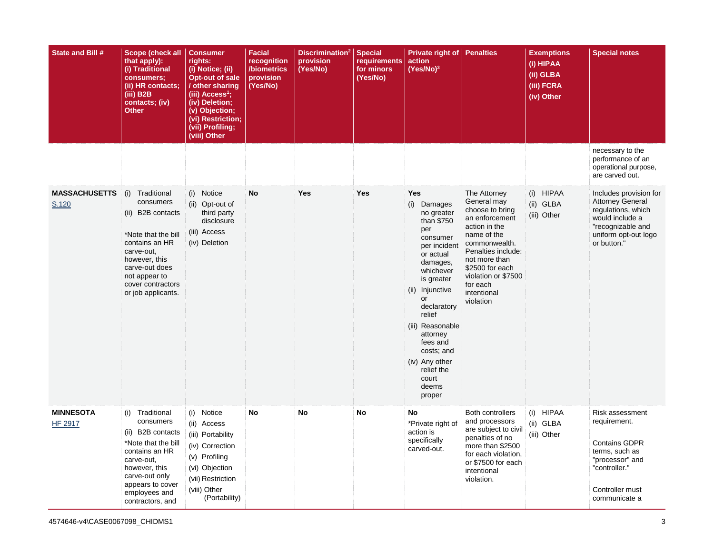| State and Bill #                   | Scope (check all<br>that apply):<br>(i) Traditional<br>consumers;<br>(ii) HR contacts;<br>(iii) B2B<br>contacts; (iv)<br><b>Other</b>                                                                      | <b>Consumer</b><br>rights:<br>(i) Notice; (ii)<br>Opt-out of sale<br>/ other sharing<br>(iii) Access <sup>1</sup> ;<br>(iv) Deletion;<br>(v) Objection;<br>(vi) Restriction;<br>(vii) Profiling;<br>(viii) Other | <b>Facial</b><br>recognition<br>/biometrics<br>provision<br>(Yes/No) | Discrimination <sup>2</sup> Special<br>provision<br>(Yes/No) | requirements<br>for minors<br>(Yes/No) | Private right of<br>action<br>$(Yes/No)^3$                                                                                                                                                                                                                                                                           | <b>Penalties</b>                                                                                                                                                                                                                           | <b>Exemptions</b><br>(i) HIPAA<br>(ii) GLBA<br>(iii) FCRA<br>(iv) Other | <b>Special notes</b>                                                                                                                                   |
|------------------------------------|------------------------------------------------------------------------------------------------------------------------------------------------------------------------------------------------------------|------------------------------------------------------------------------------------------------------------------------------------------------------------------------------------------------------------------|----------------------------------------------------------------------|--------------------------------------------------------------|----------------------------------------|----------------------------------------------------------------------------------------------------------------------------------------------------------------------------------------------------------------------------------------------------------------------------------------------------------------------|--------------------------------------------------------------------------------------------------------------------------------------------------------------------------------------------------------------------------------------------|-------------------------------------------------------------------------|--------------------------------------------------------------------------------------------------------------------------------------------------------|
|                                    |                                                                                                                                                                                                            |                                                                                                                                                                                                                  |                                                                      |                                                              |                                        |                                                                                                                                                                                                                                                                                                                      |                                                                                                                                                                                                                                            |                                                                         | necessary to the<br>performance of an<br>operational purpose,<br>are carved out.                                                                       |
| <b>MASSACHUSETTS</b><br>S.120      | (i)<br>Traditional<br>consumers<br>(ii) B2B contacts<br>*Note that the bill<br>contains an HR<br>carve-out,<br>however, this<br>carve-out does<br>not appear to<br>cover contractors<br>or job applicants. | (i) Notice<br>(ii) Opt-out of<br>third party<br>disclosure<br>(iii) Access<br>(iv) Deletion                                                                                                                      | <b>No</b>                                                            | <b>Yes</b>                                                   | <b>Yes</b>                             | <b>Yes</b><br>(i) Damages<br>no greater<br>than \$750<br>per<br>consumer<br>per incident<br>or actual<br>damages.<br>whichever<br>is greater<br>(ii) Injunctive<br>or<br>declaratory<br>relief<br>(iii) Reasonable<br>attorney<br>fees and<br>costs; and<br>(iv) Any other<br>relief the<br>court<br>deems<br>proper | The Attorney<br>General may<br>choose to bring<br>an enforcement<br>action in the<br>name of the<br>commonwealth.<br>Penalties include:<br>not more than<br>\$2500 for each<br>violation or \$7500<br>for each<br>intentional<br>violation | (i) HIPAA<br>(ii) GLBA<br>(iii) Other                                   | Includes provision for<br><b>Attorney General</b><br>regulations, which<br>would include a<br>"recognizable and<br>uniform opt-out logo<br>or button." |
| <b>MINNESOTA</b><br><b>HF 2917</b> | Traditional<br>(i)<br>consumers<br>(ii) B2B contacts<br>*Note that the bill<br>contains an HR<br>carve-out,<br>however, this<br>carve-out only<br>appears to cover<br>employees and<br>contractors, and    | (i) Notice<br>(ii) Access<br>(iii) Portability<br>(iv) Correction<br>(v) Profiling<br>(vi) Objection<br>(vii) Restriction<br>(viii) Other<br>(Portability)                                                       | <b>No</b>                                                            | <b>No</b>                                                    | No                                     | No<br>*Private right of<br>action is<br>specifically<br>carved-out.                                                                                                                                                                                                                                                  | <b>Both controllers</b><br>and processors<br>are subject to civil<br>penalties of no<br>more than \$2500<br>for each violation,<br>or \$7500 for each<br>intentional<br>violation.                                                         | (i) HIPAA<br>(ii) GLBA<br>(iii) Other                                   | Risk assessment<br>requirement.<br><b>Contains GDPR</b><br>terms, such as<br>"processor" and<br>"controller."<br>Controller must<br>communicate a      |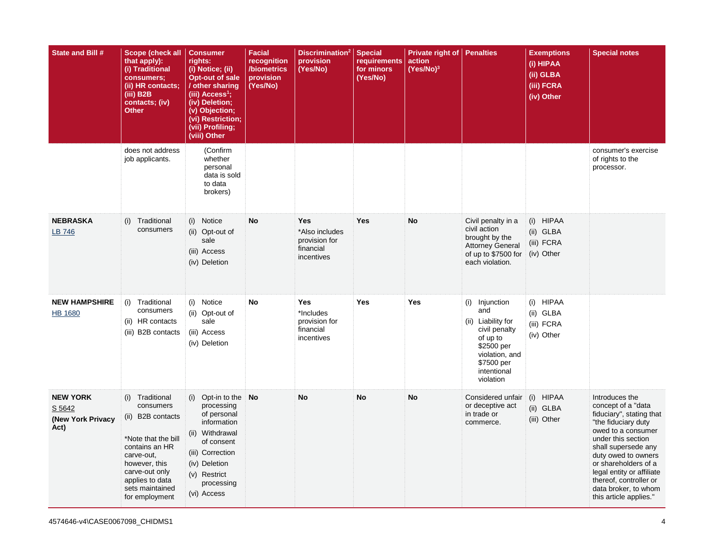| State and Bill #                                       | Scope (check all<br>that apply):<br>(i) Traditional<br>consumers;<br>(ii) HR contacts;<br>(iii) B2B<br>contacts; (iv)<br><b>Other</b>                                                                  | <b>Consumer</b><br>rights:<br>(i) Notice; (ii)<br><b>Opt-out of sale</b><br>/ other sharing<br>(iii) Access <sup>1</sup> ;<br>(iv) Deletion;<br>(v) Objection;<br>(vi) Restriction;<br>(vii) Profiling;<br>(viii) Other | <b>Facial</b><br>recognition<br>/biometrics<br>provision<br>(Yes/No) | Discrimination <sup>2</sup><br>provision<br>(Yes/No)                | <b>Special</b><br><b>requirements</b><br>for minors<br>(Yes/No) | Private right of<br>action<br>$(Yes/No)^3$ | <b>Penalties</b>                                                                                                                                   | <b>Exemptions</b><br>(i) HIPAA<br>(ii) GLBA<br>(iii) FCRA<br>(iv) Other | <b>Special notes</b>                                                                                                                                                                                                                                                                                               |
|--------------------------------------------------------|--------------------------------------------------------------------------------------------------------------------------------------------------------------------------------------------------------|-------------------------------------------------------------------------------------------------------------------------------------------------------------------------------------------------------------------------|----------------------------------------------------------------------|---------------------------------------------------------------------|-----------------------------------------------------------------|--------------------------------------------|----------------------------------------------------------------------------------------------------------------------------------------------------|-------------------------------------------------------------------------|--------------------------------------------------------------------------------------------------------------------------------------------------------------------------------------------------------------------------------------------------------------------------------------------------------------------|
|                                                        | does not address<br>job applicants.                                                                                                                                                                    | (Confirm<br>whether<br>personal<br>data is sold<br>to data<br>brokers)                                                                                                                                                  |                                                                      |                                                                     |                                                                 |                                            |                                                                                                                                                    |                                                                         | consumer's exercise<br>of rights to the<br>processor.                                                                                                                                                                                                                                                              |
| <b>NEBRASKA</b><br>LB 746                              | Traditional<br>(i)<br>consumers                                                                                                                                                                        | Notice<br>(i)<br>(ii) Opt-out of<br>sale<br>(iii) Access<br>(iv) Deletion                                                                                                                                               | No                                                                   | Yes<br>*Also includes<br>provision for<br>financial<br>incentives   | Yes                                                             | <b>No</b>                                  | Civil penalty in a<br>civil action<br>brought by the<br><b>Attorney General</b><br>of up to \$7500 for<br>each violation.                          | (i) HIPAA<br>(ii) GLBA<br>(iii) FCRA<br>(iv) Other                      |                                                                                                                                                                                                                                                                                                                    |
| <b>NEW HAMPSHIRE</b><br><b>HB 1680</b>                 | (i) Traditional<br>consumers<br>(ii) HR contacts<br>(iii) B2B contacts                                                                                                                                 | (i) Notice<br>(ii) Opt-out of<br>sale<br>(iii) Access<br>(iv) Deletion                                                                                                                                                  | No                                                                   | <b>Yes</b><br>*Includes<br>provision for<br>financial<br>incentives | <b>Yes</b>                                                      | Yes                                        | (i) Injunction<br>and<br>(ii) Liability for<br>civil penalty<br>of up to<br>\$2500 per<br>violation, and<br>\$7500 per<br>intentional<br>violation | (i) HIPAA<br>(ii) GLBA<br>(iii) FCRA<br>(iv) Other                      |                                                                                                                                                                                                                                                                                                                    |
| <b>NEW YORK</b><br>S 5642<br>(New York Privacy<br>Act) | (i)<br>Traditional<br>consumers<br>(ii) B2B contacts<br>*Note that the bill<br>contains an HR<br>carve-out.<br>however, this<br>carve-out only<br>applies to data<br>sets maintained<br>for employment | (i) Opt-in to the $\overline{N}$ <b>Oo</b><br>processing<br>of personal<br>information<br>(ii) Withdrawal<br>of consent<br>(iii) Correction<br>(iv) Deletion<br>(v) Restrict<br>processing<br>(vi) Access               |                                                                      | <b>No</b>                                                           | No                                                              | <b>No</b>                                  | Considered unfair<br>or deceptive act<br>in trade or<br>commerce.                                                                                  | (i) HIPAA<br>(ii) GLBA<br>(iii) Other                                   | Introduces the<br>concept of a "data<br>fiduciary", stating that<br>"the fiduciary duty<br>owed to a consumer<br>under this section<br>shall supersede any<br>duty owed to owners<br>or shareholders of a<br>legal entity or affiliate<br>thereof, controller or<br>data broker, to whom<br>this article applies." |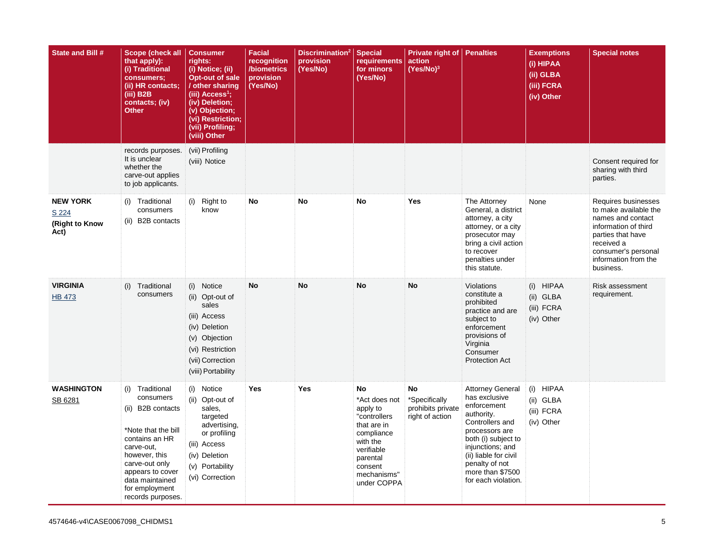| State and Bill #                                   | Scope (check all<br>that apply):<br>(i) Traditional<br>consumers;<br>(ii) HR contacts;<br>(iii) B2B<br>contacts; (iv)<br>Other                                                                                            | <b>Consumer</b><br>rights:<br>(i) Notice; (ii)<br><b>Opt-out of sale</b><br>/ other sharing<br>(iii) Access <sup>1</sup> ;<br>(iv) Deletion;<br>(v) Objection;<br>(vi) Restriction;<br>(vii) Profiling;<br>(viii) Other | <b>Facial</b><br>recognition<br>/biometrics<br>provision<br>(Yes/No) | Discrimination <sup>2</sup><br>provision<br>(Yes/No) | <b>Special</b><br><b>requirements</b><br>for minors<br>(Yes/No)                                                                                             | Private right of<br>action<br>$(Yes/No)^3$                  | <b>Penalties</b>                                                                                                                                                                                                                            | <b>Exemptions</b><br>$\overline{\textbf{(i)}}$ HIPAA<br>(ii) GLBA<br>(iii) FCRA<br>(iv) Other | <b>Special notes</b>                                                                                                                                                                     |
|----------------------------------------------------|---------------------------------------------------------------------------------------------------------------------------------------------------------------------------------------------------------------------------|-------------------------------------------------------------------------------------------------------------------------------------------------------------------------------------------------------------------------|----------------------------------------------------------------------|------------------------------------------------------|-------------------------------------------------------------------------------------------------------------------------------------------------------------|-------------------------------------------------------------|---------------------------------------------------------------------------------------------------------------------------------------------------------------------------------------------------------------------------------------------|-----------------------------------------------------------------------------------------------|------------------------------------------------------------------------------------------------------------------------------------------------------------------------------------------|
|                                                    | records purposes.<br>It is unclear<br>whether the<br>carve-out applies<br>to job applicants.                                                                                                                              | (vii) Profiling<br>(viii) Notice                                                                                                                                                                                        |                                                                      |                                                      |                                                                                                                                                             |                                                             |                                                                                                                                                                                                                                             |                                                                                               | Consent required for<br>sharing with third<br>parties.                                                                                                                                   |
| <b>NEW YORK</b><br>S 224<br>(Right to Know<br>Act) | (i) Traditional<br>consumers<br>(ii) B2B contacts                                                                                                                                                                         | (i)<br>Right to<br>know                                                                                                                                                                                                 | No                                                                   | No                                                   | No                                                                                                                                                          | Yes                                                         | The Attorney<br>General, a district<br>attorney, a city<br>attorney, or a city<br>prosecutor may<br>bring a civil action<br>to recover<br>penalties under<br>this statute.                                                                  | None                                                                                          | Requires businesses<br>to make available the<br>names and contact<br>information of third<br>parties that have<br>received a<br>consumer's personal<br>information from the<br>business. |
| <b>VIRGINIA</b><br><b>HB 473</b>                   | (i)<br>Traditional<br>consumers                                                                                                                                                                                           | (i) Notice<br>(ii) Opt-out of<br>sales<br>(iii) Access<br>(iv) Deletion<br>(v) Objection<br>(vi) Restriction<br>(vii) Correction<br>(viii) Portability                                                                  | <b>No</b>                                                            | <b>No</b>                                            | <b>No</b>                                                                                                                                                   | No                                                          | Violations<br>constitute a<br>prohibited<br>practice and are<br>subject to<br>enforcement<br>provisions of<br>Virginia<br>Consumer<br><b>Protection Act</b>                                                                                 | (i) HIPAA<br>(ii) GLBA<br>(iii) FCRA<br>(iv) Other                                            | <b>Risk assessment</b><br>requirement.                                                                                                                                                   |
| <b>WASHINGTON</b><br>SB 6281                       | (i) Traditional<br>consumers<br>(ii) B2B contacts<br>*Note that the bill<br>contains an HR<br>carve-out,<br>however, this<br>carve-out only<br>appears to cover<br>data maintained<br>for employment<br>records purposes. | (i) Notice<br>(ii) Opt-out of<br>sales,<br>targeted<br>advertising,<br>or profiling<br>(iii) Access<br>(iv) Deletion<br>(v) Portability<br>(vi) Correction                                                              | Yes                                                                  | Yes                                                  | No<br>*Act does not<br>apply to<br>"controllers<br>that are in<br>compliance<br>with the<br>verifiable<br>parental<br>consent<br>mechanisms"<br>under COPPA | No<br>*Specifically<br>prohibits private<br>right of action | <b>Attorney General</b><br>has exclusive<br>enforcement<br>authority.<br>Controllers and<br>processors are<br>both (i) subject to<br>injunctions; and<br>(ii) liable for civil<br>penalty of not<br>more than \$7500<br>for each violation. | (i) HIPAA<br>(ii) GLBA<br>(iii) FCRA<br>(iv) Other                                            |                                                                                                                                                                                          |